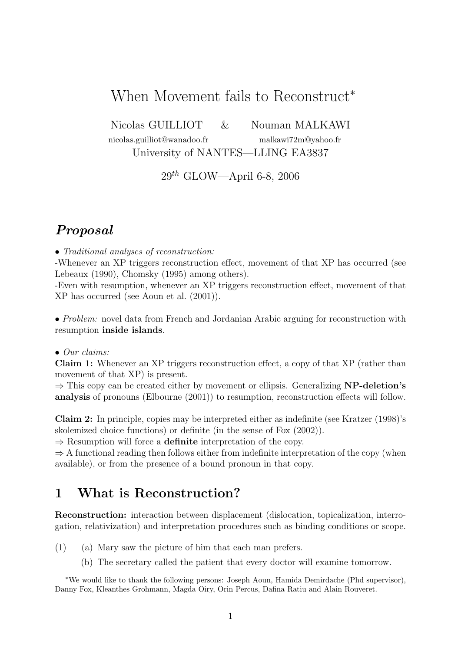# When Movement fails to Reconstruct<sup>∗</sup>

Nicolas GUILLIOT & Nouman MALKAWI

nicolas.guilliot@wanadoo.fr malkawi72m@yahoo.fr

University of NANTES—LLING EA3837

 $29^{th}$  GLOW—April 6-8, 2006

## Proposal

• Traditional analyses of reconstruction:

-Whenever an XP triggers reconstruction effect, movement of that XP has occurred (see Lebeaux (1990), Chomsky (1995) among others).

-Even with resumption, whenever an XP triggers reconstruction effect, movement of that XP has occurred (see Aoun et al. (2001)).

• Problem: novel data from French and Jordanian Arabic arguing for reconstruction with resumption inside islands.

• Our claims:

Claim 1: Whenever an XP triggers reconstruction effect, a copy of that XP (rather than movement of that XP) is present.

 $\Rightarrow$  This copy can be created either by movement or ellipsis. Generalizing **NP-deletion's** analysis of pronouns (Elbourne (2001)) to resumption, reconstruction effects will follow.

Claim 2: In principle, copies may be interpreted either as indefinite (see Kratzer (1998)'s skolemized choice functions) or definite (in the sense of Fox (2002)).

 $\Rightarrow$  Resumption will force a **definite** interpretation of the copy.

 $\Rightarrow$  A functional reading then follows either from indefinite interpretation of the copy (when available), or from the presence of a bound pronoun in that copy.

## 1 What is Reconstruction?

Reconstruction: interaction between displacement (dislocation, topicalization, interrogation, relativization) and interpretation procedures such as binding conditions or scope.

- (1) (a) Mary saw the picture of him that each man prefers.
	- (b) The secretary called the patient that every doctor will examine tomorrow.

<sup>∗</sup>We would like to thank the following persons: Joseph Aoun, Hamida Demirdache (Phd supervisor), Danny Fox, Kleanthes Grohmann, Magda Oiry, Orin Percus, Dafina Ratiu and Alain Rouveret.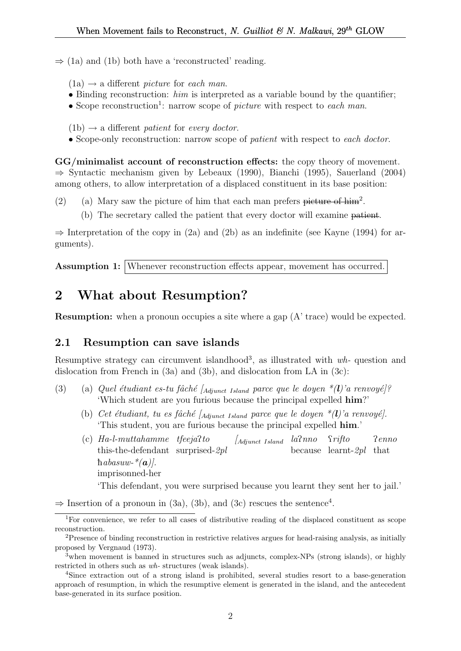$\Rightarrow$  (1a) and (1b) both have a 'reconstructed' reading.

 $(1a) \rightarrow a$  different *picture* for *each man*.

- Binding reconstruction:  $him$  is interpreted as a variable bound by the quantifier;
- Scope reconstruction<sup>1</sup>: narrow scope of *picture* with respect to each man.

 $(1b) \rightarrow a$  different patient for every doctor.

• Scope-only reconstruction: narrow scope of *patient* with respect to each doctor.

GG/minimalist account of reconstruction effects: the copy theory of movement. ⇒ Syntactic mechanism given by Lebeaux (1990), Bianchi (1995), Sauerland (2004) among others, to allow interpretation of a displaced constituent in its base position:

- (2) (a) Mary saw the picture of him that each man prefers picture of him<sup>2</sup>.
	- (b) The secretary called the patient that every doctor will examine patient.

 $\Rightarrow$  Interpretation of the copy in (2a) and (2b) as an indefinite (see Kayne (1994) for arguments).

Assumption 1: Whenever reconstruction effects appear, movement has occurred.

# 2 What about Resumption?

Resumption: when a pronoun occupies a site where a gap (A' trace) would be expected.

### 2.1 Resumption can save islands

Resumptive strategy can circumvent islandhood<sup>3</sup>, as illustrated with  $wh$ - question and dislocation from French in (3a) and (3b), and dislocation from LA in (3c):

- (3) (a) Quel étudiant es-tu fâché [Adjunct Island parce que le doyen  $*(l)$ 'a renvoyé]? 'Which student are you furious because the principal expelled him?'
	- (b) Cet étudiant, tu es fâché [ $_{\text{Adjunct}}$  Island parce que le doyen  $*(l)'$ a renvoyé]. 'This student, you are furious because the principal expelled him.'
	- (c) Ha-l-muttahamme tfeejaPto this-the-defendant surprised-2pl  $\int$ Adjunct Island  $la$ Pnno because learnt-2pl that *Srifto* Penno habasuw- $*(a)$ . imprisonned-her

'This defendant, you were surprised because you learnt they sent her to jail.'

 $\Rightarrow$  Insertion of a pronoun in (3a), (3b), and (3c) rescues the sentence<sup>4</sup>.

<sup>&</sup>lt;sup>1</sup>For convenience, we refer to all cases of distributive reading of the displaced constituent as scope reconstruction.

<sup>2</sup>Presence of binding reconstruction in restrictive relatives argues for head-raising analysis, as initially proposed by Vergnaud (1973).

<sup>3</sup>when movement is banned in structures such as adjuncts, complex-NPs (strong islands), or highly restricted in others such as wh- structures (weak islands).

<sup>4</sup>Since extraction out of a strong island is prohibited, several studies resort to a base-generation approach of resumption, in which the resumptive element is generated in the island, and the antecedent base-generated in its surface position.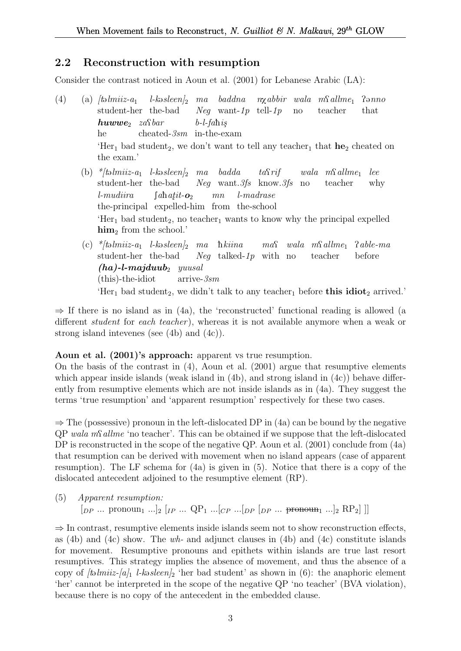### 2.2 Reconstruction with resumption

Consider the contrast noticed in Aoun et al. (2001) for Lebanese Arabic (LA):

- (4) (a)  $/t_0$ *lmiiz-a*<sub>1</sub> student-her the-bad l-kə $s$ leen $l_2$ ma baddna Neg want-1p tell-1p  $n\chi abbir$  wala  $m\Omega$ llme<sub>1</sub> no teacher  $P<sub>9</sub>nno$ that  $huvw$ e<sub>2</sub> zastbar he cheated-3sm in-the-exam  $b$ -l-fahis 'Her<sub>1</sub> bad student<sub>2</sub>, we don't want to tell any teacher<sub>1</sub> that  $he_2$  cheated on the exam.' (b) \*/təlmiiz-a<sub>1</sub> l-kəsleen/<sub>2</sub> ma badda  $taSrif$  $wala$   $m\Omega$ llme<sub>1</sub> lee
	- student-her the-bad Neg want.3fs know.3fs no teacher why l-mudiira the-principal expelled-him from the-school  $\int$ ahatit- $o_2$ mn l-madrase 'Her<sub>1</sub> bad student<sub>2</sub>, no teacher<sub>1</sub> wants to know why the principal expelled  $\lim_{2}$  from the school.
	- (c) \*/təlmiiz-a<sub>1</sub> l-kəsleen/<sub>2</sub> ma hkiina student-her the-bad Neg talked-1p with no  $ma\Omega$  wala m $\Omega$ allme<sub>1</sub> teacher Pable-ma before  $(ha)$ -l-majduub<sub>2</sub> yuusal (this)-the-idiot arrive-3sm 'Her<sub>1</sub> bad student<sub>2</sub>, we didn't talk to any teacher<sub>1</sub> before **this idiot**<sub>2</sub> arrived.'

 $\Rightarrow$  If there is no island as in (4a), the 'reconstructed' functional reading is allowed (a different *student* for *each teacher*), whereas it is not available anymore when a weak or strong island intevenes (see (4b) and (4c)).

#### Aoun et al. (2001)'s approach: apparent vs true resumption.

On the basis of the contrast in (4), Aoun et al. (2001) argue that resumptive elements which appear inside islands (weak island in (4b), and strong island in (4c)) behave differently from resumptive elements which are not inside islands as in (4a). They suggest the terms 'true resumption' and 'apparent resumption' respectively for these two cases.

 $\Rightarrow$  The (possessive) pronoun in the left-dislocated DP in (4a) can be bound by the negative  $QP$  wala ms<sup>allme</sup> 'no teacher'. This can be obtained if we suppose that the left-dislocated DP is reconstructed in the scope of the negative QP. Aoun et al. (2001) conclude from (4a) that resumption can be derived with movement when no island appears (case of apparent resumption). The LF schema for (4a) is given in (5). Notice that there is a copy of the dislocated antecedent adjoined to the resumptive element (RP).

(5) Apparent resumption:  $[p_P \dots \text{ pronoun}_1 \dots]_2$   $[p_P \dots QP_1 \dots [cp \dots [bp \text{ [DP} \dots \text{ pronoun}_1 \dots]_2 \text{ [RP}_2]]]$ 

 $\Rightarrow$  In contrast, resumptive elements inside islands seem not to show reconstruction effects, as  $(4b)$  and  $(4c)$  show. The wh- and adjunct clauses in  $(4b)$  and  $(4c)$  constitute islands for movement. Resumptive pronouns and epithets within islands are true last resort resumptives. This strategy implies the absence of movement, and thus the absence of a copy of  $[t\omega_m]$  l-k-sleen<sup> $\omega_2$ </sup> 'her bad student' as shown in (6): the anaphoric element 'her' cannot be interpreted in the scope of the negative QP 'no teacher' (BVA violation), because there is no copy of the antecedent in the embedded clause.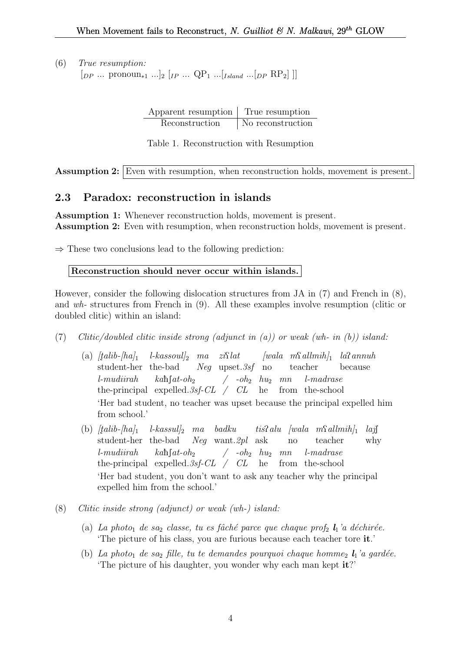(6) True resumption:  $[p_P \dots \text{ pronoun}_{*1} \dots]_2 [ip \dots QP_1 \dots [I_{sland} \dots[p_P \text{ RP}_2]]]$ 

> Apparent resumption True resumption Reconstruction No reconstruction

Table 1. Reconstruction with Resumption

Assumption 2: Even with resumption, when reconstruction holds, movement is present.

## 2.3 Paradox: reconstruction in islands

Assumption 1: Whenever reconstruction holds, movement is present. Assumption 2: Even with resumption, when reconstruction holds, movement is present.

 $\Rightarrow$  These two conclusions lead to the following prediction:

```
Reconstruction should never occur within islands.
```
However, consider the following dislocation structures from JA in (7) and French in (8), and wh- structures from French in (9). All these examples involve resumption (clitic or doubled clitic) within an island:

- (7) Clitic/doubled clitic inside strong (adjunct in (a)) or weak (wh- in (b)) island:
	- $\alpha$  (a)  $[talib-[ha]_1$  l-kassoul]<sub>2</sub> ma zi $\Omega$ lat  $[wala$  m $\Omega$ allmih]<sub>1</sub> la $\Omega$ annuh student-her the-bad Neg upset.3sf no teacher because l-mudiirah the-principal expelled. 3sf-CL / CL he from the-school  $kab$ [ $at$ - $oh$ <sub>2</sub>]  $/$  -oh<sub>2</sub>  $hu_2$  mn l-madrase 'Her bad student, no teacher was upset because the principal expelled him from school.'
	- (b)  $[talib-|ha]_1$ student-her the-bad  $\emph{l-kassul}_2$  ma badku Neg want.2pl ask  $t$ *is*?*alu* [wala m\{\allmih}<sub>1</sub> no teacher  $laj$ why l-mudiirah the-principal expelled. 3sf-CL / CL he from the-school  $kah[at-oh_2]$  $\begin{array}{ccc} \end{array}$  -  $oh_2$   $hu_2$   $mn$ l-madrase 'Her bad student, you don't want to ask any teacher why the principal expelled him from the school.'
- (8) Clitic inside strong (adjunct) or weak (wh-) island:
	- (a) La photo<sub>1</sub> de sa<sub>2</sub> classe, tu es fâché parce que chaque prof<sub>2</sub>  $\mathbf{l}_1$ 'a déchirée. 'The picture of his class, you are furious because each teacher tore it.'
	- (b) La photo<sub>1</sub> de sa<sub>2</sub> fille, tu te demandes pourquoi chaque homme<sub>2</sub>  $\mathbf{l}_1$ 'a gardée. 'The picture of his daughter, you wonder why each man kept it?'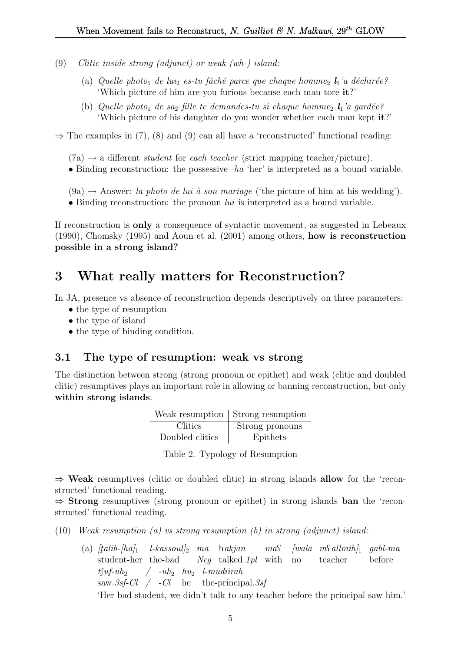- (9) Clitic inside strong (adjunct) or weak (wh-) island:
	- (a) Quelle photo<sub>1</sub> de lui<sub>2</sub> es-tu fâché parce que chaque homme<sub>2</sub>  $l_1$ 'a déchirée? 'Which picture of him are you furious because each man tore it?'
	- (b) Quelle photo<sub>1</sub> de sa<sub>2</sub> fille te demandes-tu si chaque homme<sub>2</sub>  $\mathbf{l}_1$ 'a gardée? 'Which picture of his daughter do you wonder whether each man kept it?'

 $\Rightarrow$  The examples in (7), (8) and (9) can all have a 'reconstructed' functional reading:

 $(7a) \rightarrow a$  different *student* for *each teacher* (strict mapping teacher/picture).

• Binding reconstruction: the possessive -ha 'her' is interpreted as a bound variable.

 $(9a) \rightarrow$  Answer: la photo de lui à son mariage ('the picture of him at his wedding').

• Binding reconstruction: the pronoun  $lui$  is interpreted as a bound variable.

If reconstruction is only a consequence of syntactic movement, as suggested in Lebeaux (1990), Chomsky (1995) and Aoun et al. (2001) among others, how is reconstruction possible in a strong island?

## 3 What really matters for Reconstruction?

In JA, presence vs absence of reconstruction depends descriptively on three parameters:

- the type of resumption
- the type of island
- the type of binding condition.

### 3.1 The type of resumption: weak vs strong

The distinction between strong (strong pronoun or epithet) and weak (clitic and doubled clitic) resumptives plays an important role in allowing or banning reconstruction, but only within strong islands.

|                 | Weak resumption   Strong resumption |
|-----------------|-------------------------------------|
| Clitics         | Strong pronouns                     |
| Doubled clitics | Epithets                            |

|  |  |  | Table 2. Typology of Resumption |
|--|--|--|---------------------------------|
|--|--|--|---------------------------------|

 $\Rightarrow$  Weak resumptives (clitic or doubled clitic) in strong islands allow for the 'reconstructed' functional reading.

 $\Rightarrow$  **Strong** resumptives (strong pronoun or epithet) in strong islands **ban** the 'reconstructed' functional reading.

(10) Weak resumption (a) vs strong resumption (b) in strong (adjunct) island:

(a)  $[talib-|ha]_1$  l-kassoul]<sub>2</sub> ma hakjan student-her the-bad Neg talked.1pl with  $ma\Omega$  $[wala \ m\Omega] \t m\delta h]$  gabl-ma no teacher before  $t\lceil u f - u h_2 \rceil$ saw. 3sf-Cl  $\neq$  -Cl he the-principal. 3sf  $\int$  -uh<sub>2</sub> hu<sub>2</sub> l-mudiirah 'Her bad student, we didn't talk to any teacher before the principal saw him.'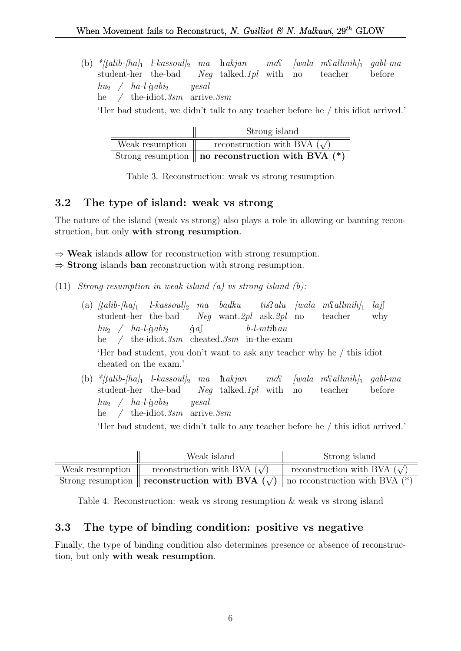(b)  $*$ [talib-[ha]<sub>1</sub> l-kassoul]<sub>2</sub> ma hakjan student-her the-bad Neg talked.1pl with  $ma\Omega$  $[wala \ mSallmih]_1$  gabl-ma no teacher before  $h u_2 \quad / \quad h a$ -l-ġ $ab i_2$ he / the-idiot.  $3sm$  arrive.  $3sm$ yesal 'Her bad student, we didn't talk to any teacher before he / this idiot arrived.'

|                 | Strong island                                                  |
|-----------------|----------------------------------------------------------------|
| Weak resumption | reconstruction with BVA $(\sqrt)$                              |
|                 | Strong resumption $\parallel$ no reconstruction with BVA $(*)$ |

Table 3. Reconstruction: weak vs strong resumption

## 3.2 The type of island: weak vs strong

The nature of the island (weak vs strong) also plays a role in allowing or banning reconstruction, but only with strong resumption.

 $\Rightarrow$  Weak islands allow for reconstruction with strong resumption.

 $\Rightarrow$  **Strong** islands **ban** reconstruction with strong resumption.

(11) Strong resumption in weak island  $(a)$  vs strong island  $(b)$ :

- $\left( \mathrm{a}\right)$   $[talib-[ha]_{1}$   $l$ -kassoul]<sub>2</sub> ma badku student-her the-bad Neg want.2pl ask.2pl no  $t$ *is*?*alu* [wala m\{\matha allmin\}<sub>1</sub> teacher  $la\tilde{J}$ why  $h_{u_2}$  /  $ha$ -l-gabi<sub>2</sub> he / the-idiot.3sm cheated.3sm in-the-exam  $\dot{g}$  af  $b$ -l- $mti$ han 'Her bad student, you don't want to ask any teacher why he / this idiot cheated on the exam.'
- (b)  $*$ [talib-[ha]<sub>1</sub> l-kassoul]<sub>2</sub> ma hakjan student-her the-bad Neg talked.1pl with  $ma\Omega$  $[wala \ m\Omega dlmih]_1$ no teacher gabl-ma before  $hu_2 \quad / \quad ha$ -l-gabi<sub>2</sub> he / the-idiot.3sm arrive.3sm yesal

'Her bad student, we didn't talk to any teacher before he / this idiot arrived.'

|                 | Weak island                                                                                        | Strong island                     |
|-----------------|----------------------------------------------------------------------------------------------------|-----------------------------------|
| Weak resumption | reconstruction with BVA $(\sqrt)$                                                                  | reconstruction with BVA $(\sqrt)$ |
|                 | Strong resumption    <b>reconstruction with BVA</b> $(\sqrt{})$   no reconstruction with BVA $(*)$ |                                   |

Table 4. Reconstruction: weak vs strong resumption & weak vs strong island

## 3.3 The type of binding condition: positive vs negative

Finally, the type of binding condition also determines presence or absence of reconstruction, but only with weak resumption.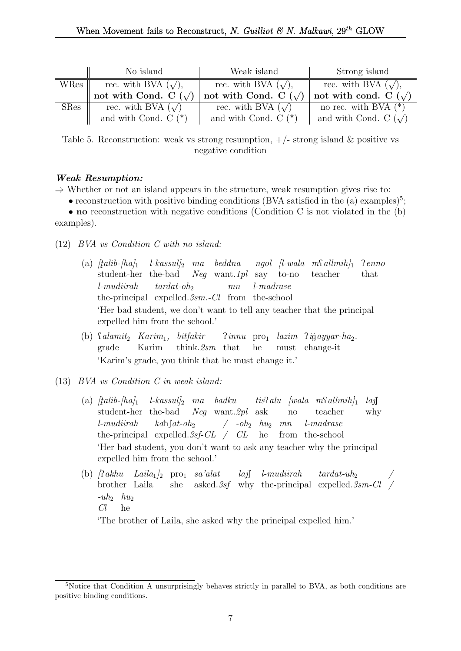|             | No island                     | Weak island                | Strong island              |
|-------------|-------------------------------|----------------------------|----------------------------|
| WRes        | rec. with BVA $(\sqrt)$ ,     | rec. with BVA $(\sqrt)$ ,  | rec. with BVA $(\sqrt)$ ,  |
|             | not with Cond. C $(\sqrt{\ }$ | not with Cond. C $(\sqrt)$ | not with cond. C $(\sqrt)$ |
| <b>SRes</b> | rec. with BVA $(\sqrt{ } )$   | rec. with BVA $(\sqrt)$    | no rec. with BVA $(*)$     |
|             | and with Cond. $C$ $(*)$      | and with Cond. $C$ $(*)$   | and with Cond. C $(\sqrt)$ |

Table 5. Reconstruction: weak vs strong resumption,  $+/-$  strong island & positive vs negative condition

#### Weak Resumption:

 $\Rightarrow$  Whether or not an island appears in the structure, weak resumption gives rise to:

• reconstruction with positive binding conditions (BVA satisfied in the (a) examples)<sup>5</sup>;

• no reconstruction with negative conditions (Condition C is not violated in the (b) examples).

- (12) BVA vs Condition C with no island:
	- (a)  $[talib-[ha]_1$  l-kassul]<sub>2</sub> ma beddna student-her the-bad Neg want.1pl say to-no ngol [l-wala m $\Omega$ allmih]<sub>1</sub> teacher Penno that l-mudiirah the-principal expelled. 3sm. - Cl from the-school  $tardat$ -oh<sub>2</sub> mn l-madrase 'Her bad student, we don't want to tell any teacher that the principal expelled him from the school.'
	- (b) *Salamit*<sub>2</sub> *Karim*<sub>1</sub>, *bitfakir* grade Karim think.2sm that Pinnu pro<sup>1</sup> lazim Pi gayyar-ha2. he must change-it 'Karim's grade, you think that he must change it.'
- (13) BVA vs Condition C in weak island:
	- (a)  $[talib-|ha]_1$ student-her the-bad l-kassul]<sup>2</sup> ma badku Neg want.2pl ask  $t$ *is*?*alu* [wala m\{\allmih}] no teacher  $l$ ajf why l-mudiirah the-principal expelled. 3sf-CL / CL he from the-school  $k$ ah $\int$ at-oh<sub>2</sub>  $/$  -oh<sub>2</sub>  $hu_2$  mn l-madrase 'Her bad student, you don't want to ask any teacher why the principal expelled him from the school.'
	- (b)  $\lceil \text{2}\rangle$ akhu Laila<sub>1</sub>  $\lceil \text{2}\rangle$  pro<sub>1</sub> sa'alat laj $\int$  l-mudiirah brother Laila she asked. 3sf why the-principal expelled. 3sm-Cl /  $tardat$ -uh<sub>2</sub> /  $-uh_2$   $hu_2$

 $Cl$ he

'The brother of Laila, she asked why the principal expelled him.'

<sup>&</sup>lt;sup>5</sup>Notice that Condition A unsurprisingly behaves strictly in parallel to BVA, as both conditions are positive binding conditions.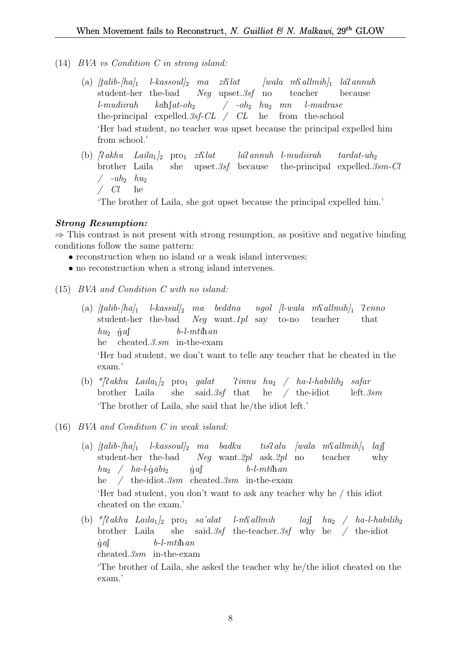- (14) BVA vs Condition C in strong island:
	- $\alpha$  (a)  $[talib-[ha]_1$  l-kassoul]<sub>2</sub> ma zi $\Omega$ lat  $[wala$  m $\Omega$ allmih]<sub>1</sub> la $\Omega$ annuh student-her the-bad Neg upset.3sf no teacher because l-mudiirah the-principal expelled. 3sf-CL / CL he from the-school  $k\alpha\hbox{h}$ [ $at$ -oh<sub>2</sub>  $/$  -oh<sub>2</sub>  $hu_2$  mn l-madrase 'Her bad student, no teacher was upset because the principal expelled him from school.'
	- (b)  $\int \mathcal{R} a k h u$  Laila<sub>1</sub>  $\int_2$  pro<sub>1</sub>  $z i \mathcal{R} l a t$ brother Laila she upset.3sf because laPannuh l-mudiirah the-principal expelled. 3sm-Cl  $tardat$ -uh<sub>2</sub>  $/$  -uh<sub>2</sub>  $hu_2$ / Cl he 'The brother of Laila, she got upset because the principal expelled him.'

#### Strong Resumption:

 $\Rightarrow$  This contrast is not present with strong resumption, as positive and negative binding conditions follow the same pattern:

- reconstruction when no island or a weak island intervenes;
- no reconstruction when a strong island intervenes.
- (15) BVA and Condition C with no island:
	- $\left( \text{a} \right)$   $[talib-[\text{ha}]_1$  l-kassul] $_2$  ma beddna ngol [l-wala m $\Omega$ allmih] $_1$   $\Omega$ enno student-her the-bad Neg want.1pl say to-no teacher that  $hu_2$  gas he cheated.3.sm in-the-exam  $b$ -l- $mti$ han 'Her bad student, we don't want to telle any teacher that he cheated in the exam.'
	- (b) \*/?akhu Laila<sub>1</sub>/<sub>2</sub> pro<sub>1</sub> galat brother Laila she said.3sf that he / the-idiot  $\lim_{n \to \infty}$  / ha-l-habilih<sub>2</sub> safar left.3sm 'The brother of Laila, she said that he/the idiot left.'

(16) BVA and Condition C in weak island:

- (a)  $[talib-|ha]_1$  l-kassoul]<sub>2</sub> ma badku tis?alu [wala m $\Omega$ allmih]<sub>1</sub> student-her the-bad Neg want.2pl ask.2pl no teacher  $l$ ajf why  $hu_2 \quad / \quad ha$ -l-gabi<sub>2</sub> he / the-idiot.3sm cheated.3sm in-the-exam  $\dot{g}$  af  $b$ -l- $mti$ han 'Her bad student, you don't want to ask any teacher why he / this idiot cheated on the exam.'
- (b)  $*$ [?akhu Laila<sub>1</sub>]<sub>2</sub> pro<sub>1</sub> sa'alat brother Laila she said.3sf the-teacher.3sf why he / the-idiot  $l$ -m $\Omega$ allmih  $la$ j $h$ u<sub>2</sub> / ha-l-habilih<sub>2</sub>  $\dot{g}$  af cheated.3sm in-the-exam  $b$ -l- $mti$ han

'The brother of Laila, she asked the teacher why he/the idiot cheated on the exam.'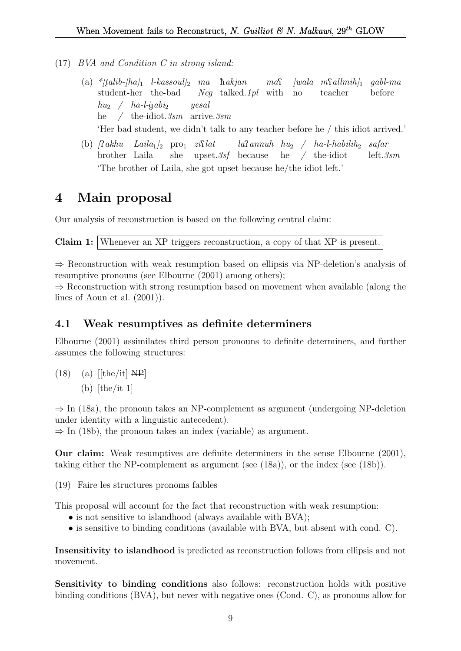- (17) BVA and Condition C in strong island:
	- $\hbox{(a)} \ \ {^*\! [tali\! b\!-\!\! [ha]_1 \ \ }$  l-kassoul] $_2 \ \ ma \ \ hakjan$ student-her the-bad Neg talked.1pl with  $ma\Omega$  $[wala \ m\Omega dlmih]_1$ no teacher gabl-ma before  $hu_2 \quad / \quad ha$ -l-gabi<sub>2</sub> he / the-idiot.3sm arrive.3sm yesal

'Her bad student, we didn't talk to any teacher before he / this idiot arrived.'

(b)  $\int \mathcal{R} a k h u$   $Laila_1 \vert_2$  pro<sub>1</sub>  $zi \mathcal{R} l$ brother Laila she upset.3sf because  $la$ annuh hu<sub>2</sub> / ha-l-habilih<sub>2</sub> safar he / the-idiot left.3sm 'The brother of Laila, she got upset because he/the idiot left.'

## 4 Main proposal

Our analysis of reconstruction is based on the following central claim:

Claim 1: Whenever an XP triggers reconstruction, a copy of that XP is present.

⇒ Reconstruction with weak resumption based on ellipsis via NP-deletion's analysis of resumptive pronouns (see Elbourne (2001) among others);

 $\Rightarrow$  Reconstruction with strong resumption based on movement when available (along the lines of Aoun et al. (2001)).

## 4.1 Weak resumptives as definite determiners

Elbourne (2001) assimilates third person pronouns to definite determiners, and further assumes the following structures:

 $(18)$  (a)  $[{\text{the/it}}]$  NP (b)  $[the/it 1]$ 

 $\Rightarrow$  In (18a), the pronoun takes an NP-complement as argument (undergoing NP-deletion under identity with a linguistic antecedent).

 $\Rightarrow$  In (18b), the pronoun takes an index (variable) as argument.

Our claim: Weak resumptives are definite determiners in the sense Elbourne (2001), taking either the NP-complement as argument (see (18a)), or the index (see (18b)).

(19) Faire les structures pronoms faibles

This proposal will account for the fact that reconstruction with weak resumption:

- is not sensitive to islandhood (always available with BVA);
- is sensitive to binding conditions (available with BVA, but absent with cond. C).

Insensitivity to islandhood is predicted as reconstruction follows from ellipsis and not movement.

Sensitivity to binding conditions also follows: reconstruction holds with positive binding conditions (BVA), but never with negative ones (Cond. C), as pronouns allow for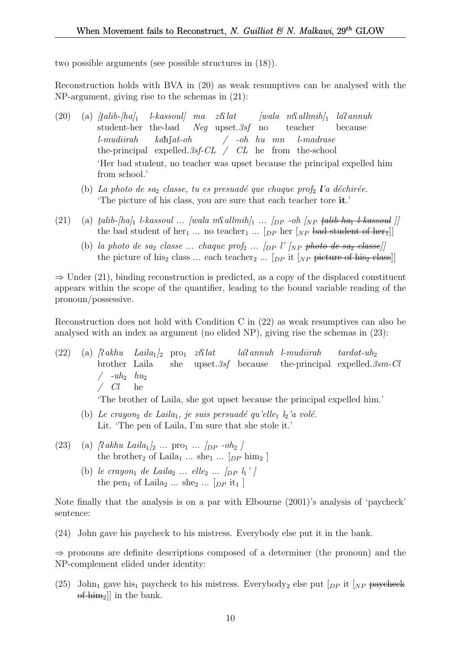two possible arguments (see possible structures in (18)).

Reconstruction holds with BVA in (20) as weak resumptives can be analysed with the NP-argument, giving rise to the schemas in (21):

- $(20)$  (a)  $[talib-ha]_1$ student-her the-bad  $l$ -kassoul] ma zi $\Omega$ lat Neg upset.3sf no  $[wala \t mSallmih]_1$   $la$ sannuh teacher because l-mudiirah the-principal expelled. 3sf-CL / CL he from the-school  $k$ ah $\int$ at-oh / -oh hu mn l-madrase 'Her bad student, no teacher was upset because the principal expelled him from school.'
	- (b) La photo de saz classe, tu es presuadé que chaque prof $_2$  l'a déchirée. 'The picture of his class, you are sure that each teacher tore it.'
- (21) (a)  $\text{talib-}\left[\text{hal}_1 \text{ } \text{l-kassoul} \dots \text{ } \text{[wala mSallmih]}_1 \dots \text{ } \text{[p p -oh]}_{NP} \text{ } \text{talib-}\text{ha}_1 \text{ } \text{l-kassoul} \right]$ the bad student of her<sub>1</sub> ... no teacher<sub>1</sub> ... [<sub>DP</sub> her [<sub>NP</sub> bad student of her<sub>1</sub>]]
	- (b) la photo de sa<sub>2</sub> classe ... chaque prof<sub>2</sub> ...  $\langle$ <sub>DP</sub> l' $\langle$ <sub>NP</sub> <del>photo de sa<sub>2</sub> classe</del> $\rangle$ the picture of his<sub>2</sub> class ... each teacher<sub>2</sub> ...  $\lceil_{DP}$  it  $\lceil_{NP}$  picture of his<sub>2</sub> class]

 $\Rightarrow$  Under (21), binding reconstruction is predicted, as a copy of the displaced constituent appears within the scope of the quantifier, leading to the bound variable reading of the pronoun/possessive.

Reconstruction does not hold with Condition C in (22) as weak resumptives can also be analysed with an index as argument (no elided NP), giving rise the schemas in (23):

(22) (a)  $\int \mathcal{R} \, dkhu$   $Laila_1\vert_2$  pro<sub>1</sub>  $zi\mathcal{R} \, lat$ brother Laila she upset.3sf because laPannuh l-mudiirah the-principal expelled. 3sm-Cl  $tardat$ -uh<sub>2</sub>  $/$  -uh<sub>2</sub>  $hu_2$  $\angle$  Cl he

'The brother of Laila, she got upset because the principal expelled him.'

- (b) Le crayon<sub>2</sub> de Laila<sub>1</sub>, je suis persuadé qu'elle<sub>1</sub>  $l_2$ 'a volé. Lit. 'The pen of Laila, I'm sure that she stole it.'
- (23) (a)  $\int_0^{\infty} R_{\alpha} h u \, L \alpha l a_1 / 2 \ldots \text{ pro}_1 \ldots \int_{DP} -o h_2 \,$ the brother<sub>2</sub> of Laila<sub>1</sub> ... she<sub>1</sub> ... [<sub>DP</sub> him<sub>2</sub>]
	- (b) le crayon<sub>1</sub> de Laila<sub>2</sub> ... elle<sub>2</sub> ...  $\lceil \ln \frac{1}{l} \rceil$ the pen<sub>1</sub> of Laila<sub>2</sub> ... she<sub>2</sub> ... [<sub>DP</sub> it<sub>1</sub>]

Note finally that the analysis is on a par with Elbourne (2001)'s analysis of 'paycheck' sentence:

(24) John gave his paycheck to his mistress. Everybody else put it in the bank.

⇒ pronouns are definite descriptions composed of a determiner (the pronoun) and the NP-complement elided under identity:

(25) John<sub>1</sub> gave his<sub>1</sub> paycheck to his mistress. Everybody<sub>2</sub> else put  $\lceil_{DP}$  it  $\lceil_{NP}$  paycheck  $of$  him<sub>2</sub>]] in the bank.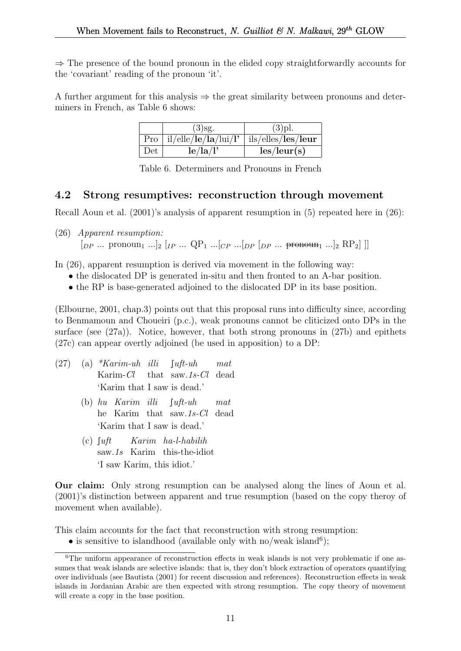$\Rightarrow$  The presence of the bound pronoun in the elided copy straightforwardly accounts for the 'covariant' reading of the pronoun 'it'.

A further argument for this analysis  $\Rightarrow$  the great similarity between pronouns and determiners in French, as Table 6 shows:

|     | $(3)$ sg.                                       | $(3)$ pl.                   |
|-----|-------------------------------------------------|-----------------------------|
|     | $Pro  il/elle/le/la/lui/l'  ils/elles/les/leur$ |                             |
| Det | le/la/l'                                        | $\text{les}/\text{leur}(s)$ |

Table 6. Determiners and Pronouns in French

### 4.2 Strong resumptives: reconstruction through movement

Recall Aoun et al. (2001)'s analysis of apparent resumption in (5) repeated here in (26):

(26) Apparent resumption:  $\left[\begin{array}{ccc} \n\ln P & \ldots & \n\end{array}\right]$  pronoun<sub>1</sub> ....<sup>[2]</sup>  $\left[\begin{array}{ccc} \n\ln P & \ldots & \n\end{array}\right]$   $\left[\begin{array}{ccc} \n\ln P & \ldots & \n\end{array}\right]$   $\left[\begin{array}{ccc} \n\ln P & \ldots & \n\end{array}\right]$   $\left[\begin{array}{ccc} \n\ln P & \ldots & \n\end{array}\right]$ 

In (26), apparent resumption is derived via movement in the following way:

- the dislocated DP is generated in-situ and then fronted to an A-bar position.
- the RP is base-generated adjoined to the dislocated DP in its base position.

(Elbourne, 2001, chap.3) points out that this proposal runs into difficulty since, according to Benmamoun and Choueiri (p.c.), weak pronouns cannot be cliticized onto DPs in the surface (see  $(27a)$ ). Notice, however, that both strong pronouns in  $(27b)$  and epithets (27c) can appear overtly adjoined (be used in apposition) to a DP:

- $(27)$  (a) \*Karim-uh illi Karim-Cl that saw.1s-Cl  $\lceil$ uft-uh mat dead 'Karim that I saw is dead.'
	- (b) hu Karim illi he Karim that saw.1s-Cl dead  $\int u \, dt$ -uh mat 'Karim that I saw is dead.'
	- $(c)$   $\int u \, dt$ saw.1s Karim this-the-idiot Karim ha-l-habilih 'I saw Karim, this idiot.'

Our claim: Only strong resumption can be analysed along the lines of Aoun et al. (2001)'s distinction between apparent and true resumption (based on the copy theroy of movement when available).

This claim accounts for the fact that reconstruction with strong resumption:

• is sensitive to islandhood (available only with no/weak island<sup>6</sup>);

<sup>&</sup>lt;sup>6</sup>The uniform appearance of reconstruction effects in weak islands is not very problematic if one assumes that weak islands are selective islands: that is, they don't block extraction of operators quantifying over individuals (see Bautista (2001) for recent discussion and references). Reconstruction effects in weak islands in Jordanian Arabic are then expected with strong resumption. The copy theory of movement will create a copy in the base position.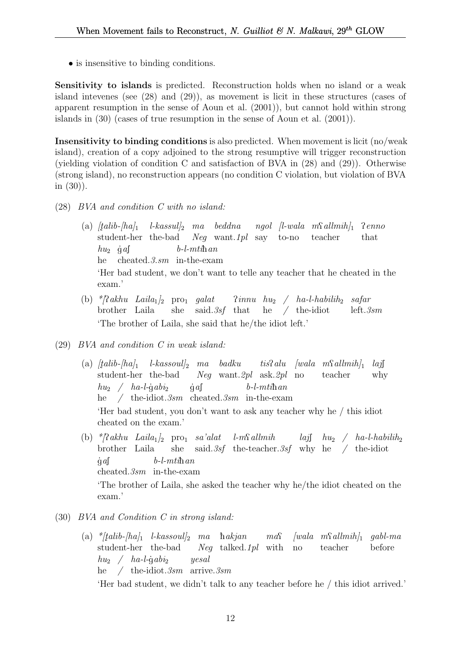• is insensitive to binding conditions.

Sensitivity to islands is predicted. Reconstruction holds when no island or a weak island intevenes (see (28) and (29)), as movement is licit in these structures (cases of apparent resumption in the sense of Aoun et al. (2001)), but cannot hold within strong islands in (30) (cases of true resumption in the sense of Aoun et al. (2001)).

Insensitivity to binding conditions is also predicted. When movement is licit (no/weak island), creation of a copy adjoined to the strong resumptive will trigger reconstruction (yielding violation of condition C and satisfaction of BVA in (28) and (29)). Otherwise (strong island), no reconstruction appears (no condition C violation, but violation of BVA in (30)).

- (28) BVA and condition C with no island:
	- (a)  $[talib-hal]$ student-her the-bad Neg want.1pl say to-no teacher  $\emph{l-kassul}_2$  ma beddna ngol [l-wala m $\emph{Sallmih}_1$  ?enno that  $hu_2$  gas he cheated.3.sm in-the-exam  $b$ -l- $mti$ han 'Her bad student, we don't want to telle any teacher that he cheated in the exam.'
	- (b)  $\sqrt[k]{?} akhu$  Laila<sub>1</sub> $]_2$  pro<sub>1</sub> galat  $?innu$  hu<sub>2</sub> / ha-l-habilih<sub>2</sub> safar brother Laila she said. 3sf that he / the-idiot left.3sm 'The brother of Laila, she said that he/the idiot left.'
- (29) BVA and condition C in weak island:
	- $\left( \mathrm{a}\right)$   $[talib-[ha]_{1}$   $l$ -kassoul]<sub>2</sub> ma badku student-her the-bad Neg want.2pl ask.2pl no  $t$ *is*?*alu* [wala m\{\matha allmin\}<sub>1</sub> teacher  $laj$ why  $hu_2 \quad / \quad ha$ -l-gabi<sub>2</sub> he / the-idiot.3sm cheated.3sm in-the-exam  $\dot{g}$  af  $b$ -l- $mti$ h $an$ 'Her bad student, you don't want to ask any teacher why he / this idiot cheated on the exam.'
	- (b)  $*$ [?akhu Laila<sub>1</sub>]<sub>2</sub> pro<sub>1</sub> sa'alat brother Laila she said. 3sf the-teacher. 3sf why he / the-idiot  $l$ -m $\Omega$ allmih  $la$ j $h$ u<sub>2</sub> /  $ha$ -l-habilih<sub>2</sub>  $\dot{g}$  af cheated.3sm in-the-exam  $b$ -l- $mti$ han 'The brother of Laila, she asked the teacher why he/the idiot cheated on the exam.'
- (30) BVA and Condition C in strong island:
	- (a)  $\frac{k}{t}$ alib-[ha]<sub>1</sub> l-kassoul]<sub>2</sub> ma hakjan ma $\Omega$ student-her the-bad Neg talked.1pl with no  $[wala \t m\Omega] \t m\delta h]$  gabl-ma teacher before  $hu_2 \quad / \quad ha$ -l-gabi<sub>2</sub> he / the-idiot.3sm arrive.3sm yesal

'Her bad student, we didn't talk to any teacher before he / this idiot arrived.'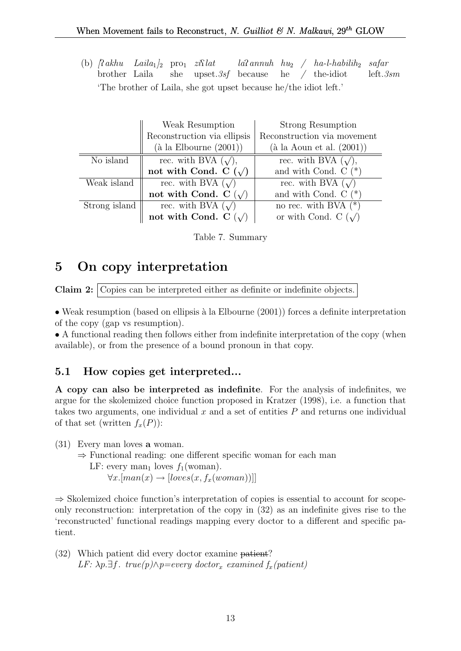(b)  $\int \mathcal{R} a k h u$  Laila<sub>1</sub>  $\int_2$  pro<sub>1</sub>  $z i \mathcal{R} l a t$ brother Laila she upset.3sf because  $la$ annuh  $hu_2$  /  $ha$ -l-habilih<sub>2</sub> safar he / the-idiot left.3sm 'The brother of Laila, she got upset because he/the idiot left.'

|               | Weak Resumption                           | Strong Resumption                     |
|---------------|-------------------------------------------|---------------------------------------|
|               | Reconstruction via ellipsis               | Reconstruction via movement           |
|               | $(\grave{a} \text{ la Elbourne } (2001))$ | $(\grave{a}$ la Aoun et al. $(2001))$ |
| No island     | rec. with BVA $(\sqrt{\ }),$              | rec. with BVA $(\sqrt{\ }$ ,          |
|               | not with Cond. C $(\sqrt)$                | and with Cond. $C$ (*)                |
| Weak island   | rec. with BVA $(\sqrt)$                   | rec. with BVA $(\sqrt)$               |
|               | not with Cond. C $(\sqrt)$                | and with Cond. $C$ $(*)$              |
| Strong island | rec. with BVA $(\sqrt)$                   | no rec. with BVA $(*)$                |
|               | not with Cond. C $(\sqrt)$                | or with Cond. C $(\sqrt)$             |

Table 7. Summary

# 5 On copy interpretation

Claim 2: Copies can be interpreted either as definite or indefinite objects.

• Weak resumption (based on ellipsis à la Elbourne  $(2001)$ ) forces a definite interpretation of the copy (gap vs resumption).

• A functional reading then follows either from indefinite interpretation of the copy (when available), or from the presence of a bound pronoun in that copy.

## 5.1 How copies get interpreted...

A copy can also be interpreted as indefinite. For the analysis of indefinites, we argue for the skolemized choice function proposed in Kratzer (1998), i.e. a function that takes two arguments, one individual  $x$  and a set of entities  $P$  and returns one individual of that set (written  $f_x(P)$ ):

(31) Every man loves a woman.

⇒ Functional reading: one different specific woman for each man

LF: every man<sub>1</sub> loves  $f_1(\text{woman})$ .

```
\forall x. [man(x) \rightarrow [loves(x, f_x(woman))]]
```
 $\Rightarrow$  Skolemized choice function's interpretation of copies is essential to account for scopeonly reconstruction: interpretation of the copy in (32) as an indefinite gives rise to the 'reconstructed' functional readings mapping every doctor to a different and specific patient.

(32) Which patient did every doctor examine patient? LF:  $\lambda p.\exists f$ . true(p) $\wedge p =$ every doctor<sub>x</sub> examined f<sub>x</sub>(patient)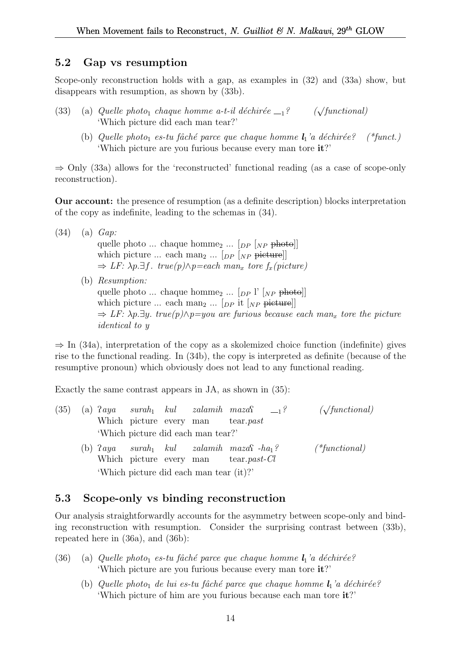### 5.2 Gap vs resumption

Scope-only reconstruction holds with a gap, as examples in  $(32)$  and  $(33a)$  show, but disappears with resumption, as shown by (33b).

- (33) (a) Quelle photo<sub>1</sub> chaque homme a-t-il déchirée  $_{-1}$ ?  $(\sqrt{functional})$ 'Which picture did each man tear?'
	- (b) Quelle photo<sub>1</sub> es-tu fâché parce que chaque homme  $l_1$ 'a déchirée? (\*funct.) 'Which picture are you furious because every man tore it?'

 $\Rightarrow$  Only (33a) allows for the 'reconstructed' functional reading (as a case of scope-only reconstruction).

Our account: the presence of resumption (as a definite description) blocks interpretation of the copy as indefinite, leading to the schemas in (34).

(34) (a) Gap: quelle photo ... chaque homme<sub>2</sub> ...  $[_{DP}$   $]_{NP}$  photo] which picture ... each man<sub>2</sub> ...  $[_{DP}$   $]_{NP}$  picture]]  $\Rightarrow$  LF:  $\lambda p.\exists f$ . true(p) $\wedge p =$ each man<sub>x</sub> tore f<sub>x</sub>(picture) (b) Resumption: quelle photo ... chaque homme<sub>2</sub> ...  $\lceil_{DP} \rceil$ <sup>'</sup>  $\lceil_{NP}$  photo]] which picture ... each man<sub>2</sub> ...  $[p_P]$  it  $[p_P]$  picture  $\Rightarrow$  LF:  $\lambda p.\exists y.$  true(p) $\wedge p = you$  are furious because each man<sub>x</sub> tore the picture identical to y

 $\Rightarrow$  In (34a), interpretation of the copy as a skolemized choice function (indefinite) gives rise to the functional reading. In (34b), the copy is interpreted as definite (because of the resumptive pronoun) which obviously does not lead to any functional reading.

Exactly the same contrast appears in JA, as shown in (35):

- $(35)$  (a)  $2aya$ Which picture every man  $\textit{surah}_1$   $\textit{kul}$ zalamih maza<sup>c</sup> tear.past  $\frac{1}{2}$  ( $\sqrt{\text{functional}}$ ) 'Which picture did each man tear?'  $(b)$   $2aya$ Which picture every man  $\mathit{surah}_1$ kul  $zalamih$   $maxaf$   $-ha<sub>1</sub>?$  (\*functional) tear.past-Cl
	- 'Which picture did each man tear (it)?'

### 5.3 Scope-only vs binding reconstruction

Our analysis straightforwardly accounts for the asymmetry between scope-only and binding reconstruction with resumption. Consider the surprising contrast between (33b), repeated here in (36a), and (36b):

- (36) (a) Quelle photo<sub>1</sub> es-tu fâché parce que chaque homme  $l_1$ 'a déchirée? 'Which picture are you furious because every man tore it?'
	- (b) Quelle photo<sub>1</sub> de lui es-tu fâché parce que chaque homme  $l_1$ 'a déchirée? 'Which picture of him are you furious because each man tore it?'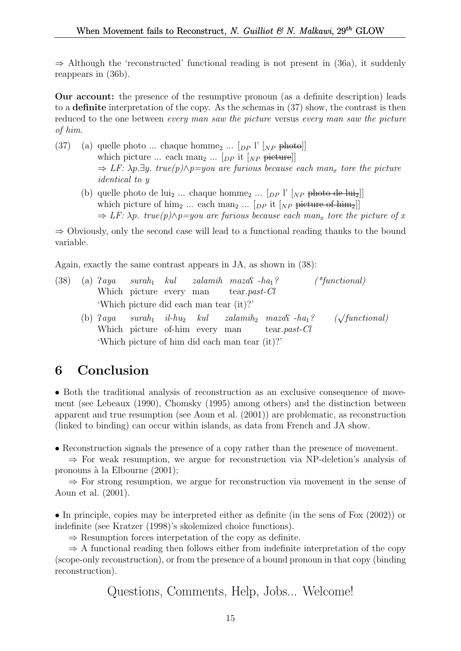$\Rightarrow$  Although the 'reconstructed' functional reading is not present in (36a), it suddenly reappears in (36b).

Our account: the presence of the resumptive pronoun (as a definite description) leads to a definite interpretation of the copy. As the schemas in (37) show, the contrast is then reduced to the one between every man saw the picture versus every man saw the picture of him.

- (37) (a) quelle photo ... chaque homme<sub>2</sub> ...  $[p]$  [NP photo] which picture ... each man<sub>2</sub> ...  $[p_p]$  it  $[p_p]$  picture  $\Rightarrow$  LF:  $\lambda p.\exists y.$  true(p) $\wedge p =$ you are furious because each man<sub>x</sub> tore the picture identical to y
	- (b) quelle photo de lui<sub>2</sub> ... chaque homme<sub>2</sub> ... [ $_{DP}$  l' [ $_{NP}$  photo de lui<sub>2</sub>]] which picture of him<sub>2</sub> ... each man<sub>2</sub> ... [ $_{DP}$  it [ $_{NP}$  picture of him<sub>2</sub>]]  $\Rightarrow$  LF:  $\lambda p$ . true(p) $\wedge p =$ you are furious because each man<sub>x</sub> tore the picture of x

⇒ Obviously, only the second case will lead to a functional reading thanks to the bound variable.

Again, exactly the same contrast appears in JA, as shown in (38):

- $(38)$  (a)  $2aya$ Which picture every man  $\textit{surah}_1$   $\textit{kul}$  $zalamih$   $maxaf$   $-ha<sub>1</sub>?$  (\*functional) tear.past-Cl 'Which picture did each man tear (it)?'
	- $(b)$   $2aya$ Which picture of-him every man  $\text{surah}_1$  il-hu<sub>2</sub> kul zalamih<sub>2</sub> maza $\text{A}$ -ha<sub>1</sub>? ( $\sqrt{ }$  $(\sqrt{\text{functional}})$ tear.past-Cl 'Which picture of him did each man tear (it)?'

# 6 Conclusion

• Both the traditional analysis of reconstruction as an exclusive consequence of movement (see Lebeaux (1990), Chomsky (1995) among others) and the distinction between apparent and true resumption (see Aoun et al. (2001)) are problematic, as reconstruction (linked to binding) can occur within islands, as data from French and JA show.

• Reconstruction signals the presence of a copy rather than the presence of movement.

⇒ For weak resumption, we argue for reconstruction via NP-deletion's analysis of pronouns à la Elbourne (2001);

⇒ For strong resumption, we argue for reconstruction via movement in the sense of Aoun et al. (2001).

• In principle, copies may be interpreted either as definite (in the sens of Fox (2002)) or indefinite (see Kratzer (1998)'s skolemized choice functions).

 $\Rightarrow$  Resumption forces interpetation of the copy as definite.

 $\Rightarrow$  A functional reading then follows either from indefinite interpretation of the copy (scope-only reconstruction), or from the presence of a bound pronoun in that copy (binding reconstruction).

Questions, Comments, Help, Jobs... Welcome!